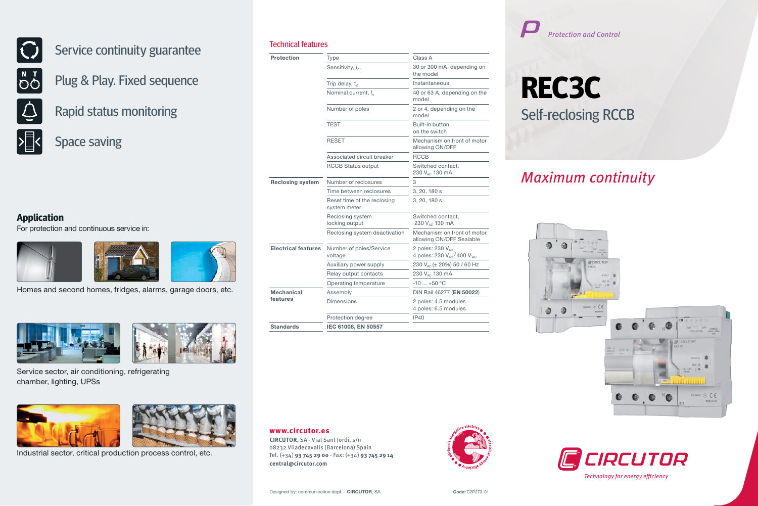

Service continuity guarantee

Plug & Play. Fixed sequence

Rapid status monitoring

## Space saving

#### **Application** For protection and continuous service in:







Homes and second homes, fridges, alarms, garage doors, etc.





Service sector, air conditioning, refrigerating chamber, lighting, UPSs



Industrial sector, critical production process control, etc.

### Technical features

| <b>Protection</b>             | <b>Type</b>                                 | Class A                                                          |
|-------------------------------|---------------------------------------------|------------------------------------------------------------------|
|                               | Sensitivity, $I_{\wedge n}$                 | 30 or 300 mA, depending on<br>the model                          |
|                               | Trip delay, $t_{\wedge}$                    | Instantaneous                                                    |
|                               | Nominal current, I <sub>n</sub>             | 40 or 63 A, depending on the<br>model                            |
|                               | Number of poles                             | 2 or 4, depending on the<br>model                                |
|                               | <b>TEST</b>                                 | Built-in button<br>on the switch                                 |
|                               | <b>RESET</b>                                | Mechanism on front of motor<br>allowing ON/OFF                   |
|                               | Associated circuit breaker                  | <b>RCCB</b>                                                      |
|                               | <b>RCCB Status output</b>                   | Switched contact.<br>230 V <sub>AC</sub> 130 mA                  |
| <b>Reclosing system</b>       | Number of reclosures                        | 3                                                                |
|                               | Time between reclosures                     | 3, 20, 180 s                                                     |
|                               | Reset time of the reclosing<br>system meter | 3, 20, 180 s                                                     |
|                               | Reclosing system<br>locking output          | Switched contact,<br>230 V <sub>AC</sub> 130 mA                  |
|                               | Reclosing system deactivation               | Mechanism on front of motor<br>allowing ON/OFF Sealable          |
| <b>Electrical features</b>    | Number of poles/Service<br>voltage          | 2 poles: 230 VAC<br>4 poles: 230 $\rm V_{AC}$ / 400 $\rm V_{AC}$ |
|                               | Auxiliary power supply                      | 230 V <sub>AC</sub> (± 20%) 50 / 60 Hz                           |
|                               | Relay output contacts                       | 230 V <sub>AC</sub> 130 mA                                       |
|                               | Operating temperature                       | $-10+50$ °C                                                      |
| <b>Mechanical</b><br>features | Assembly                                    | DIN Rail 46277 (EN 50022)                                        |
|                               | Dimensions                                  | 2 poles: 4.5 modules<br>4 poles: 6.5 modules                     |
|                               | Protection degree                           | <b>IP40</b>                                                      |
| <b>Standards</b>              | IEC 61008, EN 50557                         |                                                                  |

**CIRCUTOR**, SA - Vial Sant Jordi, s/n **www.circutor.es**

08232 Viladecavalls (Barcelona) Spain Tel. (+34) **93 745 29 00** - Fax: (+34) **93 745 29 14 central@circutor.com**





Protection and Control

# **REC3C** Self-reclosing RCCB

## Maximum continuity